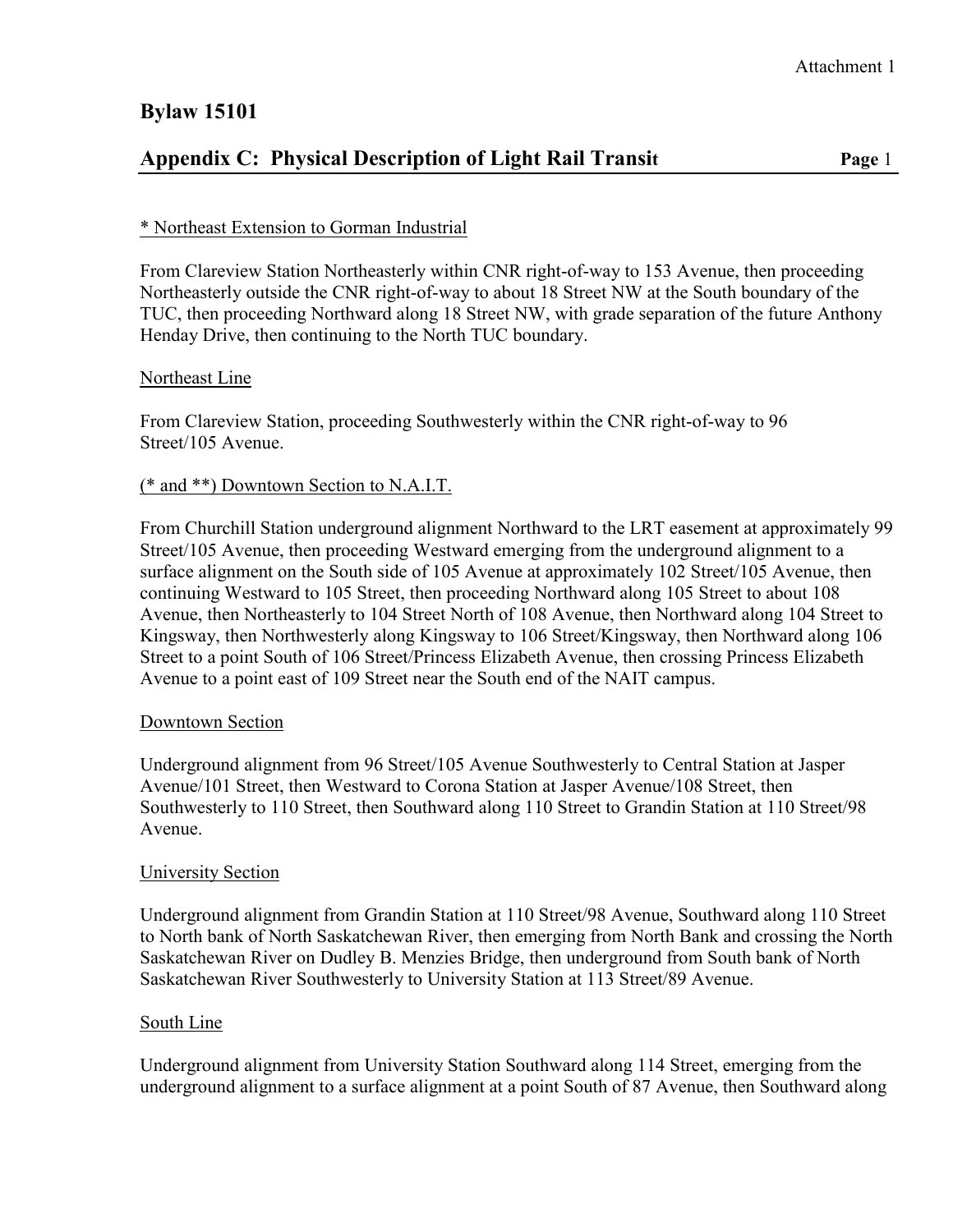# **Bylaw 15101**

## **Appendix C: Physical Description of Light Rail Transit Page** 1

## \* Northeast Extension to Gorman Industrial

From Clareview Station Northeasterly within CNR right-of-way to 153 Avenue, then proceeding Northeasterly outside the CNR right-of-way to about 18 Street NW at the South boundary of the TUC, then proceeding Northward along 18 Street NW, with grade separation of the future Anthony Henday Drive, then continuing to the North TUC boundary.

#### Northeast Line

From Clareview Station, proceeding Southwesterly within the CNR right-of-way to 96 Street/105 Avenue.

#### (\* and \*\*) Downtown Section to N.A.I.T.

From Churchill Station underground alignment Northward to the LRT easement at approximately 99 Street/105 Avenue, then proceeding Westward emerging from the underground alignment to a surface alignment on the South side of 105 Avenue at approximately 102 Street/105 Avenue, then continuing Westward to 105 Street, then proceeding Northward along 105 Street to about 108 Avenue, then Northeasterly to 104 Street North of 108 Avenue, then Northward along 104 Street to Kingsway, then Northwesterly along Kingsway to 106 Street/Kingsway, then Northward along 106 Street to a point South of 106 Street/Princess Elizabeth Avenue, then crossing Princess Elizabeth Avenue to a point east of 109 Street near the South end of the NAIT campus.

#### Downtown Section

Underground alignment from 96 Street/105 Avenue Southwesterly to Central Station at Jasper Avenue/101 Street, then Westward to Corona Station at Jasper Avenue/108 Street, then Southwesterly to 110 Street, then Southward along 110 Street to Grandin Station at 110 Street/98 Avenue.

#### University Section

Underground alignment from Grandin Station at 110 Street/98 Avenue, Southward along 110 Street to North bank of North Saskatchewan River, then emerging from North Bank and crossing the North Saskatchewan River on Dudley B. Menzies Bridge, then underground from South bank of North Saskatchewan River Southwesterly to University Station at 113 Street/89 Avenue.

#### South Line

Underground alignment from University Station Southward along 114 Street, emerging from the underground alignment to a surface alignment at a point South of 87 Avenue, then Southward along